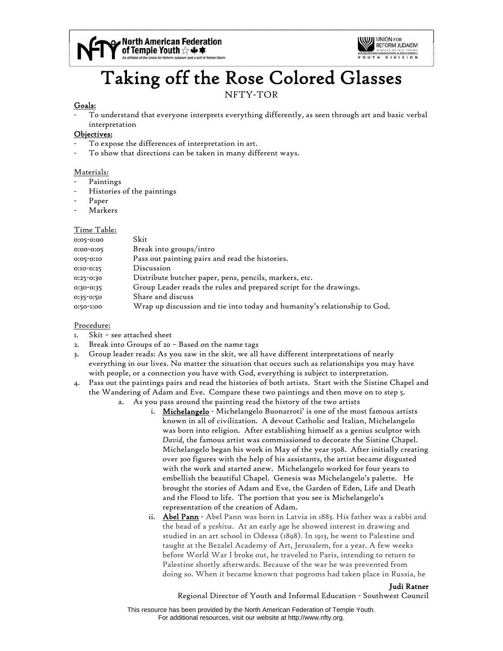



# Taking off the Rose Colored Glasses

# NFTY-TOR

#### Goals:

- To understand that everyone interprets everything differently, as seen through art and basic verbal interpretation

# Objectives:

- To expose the differences of interpretation in art.
- To show that directions can be taken in many different ways.

#### Materials:

- Paintings
- Histories of the paintings
- Paper
- Markers

# Time Table:

| 0:05-0:00 | Skit                                                                      |
|-----------|---------------------------------------------------------------------------|
| 0:00-0:05 | Break into groups/intro                                                   |
| 0:05-0:10 | Pass out painting pairs and read the histories.                           |
| 0:10-0:25 | Discussion                                                                |
| 0:25-0:30 | Distribute butcher paper, pens, pencils, markers, etc.                    |
| 0:30-0:35 | Group Leader reads the rules and prepared script for the drawings.        |
| 0:35-0:50 | Share and discuss                                                         |
| 0:50-1:00 | Wrap up discussion and tie into today and humanity's relationship to God. |

# Procedure:

- 1. Skit see attached sheet
- 2. Break into Groups of 20 Based on the name tags
- 3. Group leader reads: As you saw in the skit, we all have different interpretations of nearly everything in our lives. No matter the situation that occurs such as relationships you may have with people, or a connection you have with God, everything is subject to interpretation.
- 4. Pass out the paintings pairs and read the histories of both artists. Start with the Sistine Chapel and the Wandering of Adam and Eve. Compare these two paintings and then move on to step 5.
	- a. As you pass around the painting read the history of the two artists
		- i. Michelangelo Michelangelo Buonarroti' is one of the most famous artists known in all of civilization. A devout Catholic and Italian, Michelangelo was born into religion. After establishing himself as a genius sculptor with *David,* the famous artist was commissioned to decorate the Sistine Chapel. Michelangelo began his work in May of the year 1508. After initially creating over 300 figures with the help of his assistants, the artist became disgusted with the work and started anew. Michelangelo worked for four years to embellish the beautiful Chapel. Genesis was Michelangelo's palette. He brought the stories of Adam and Eve, the Garden of Eden, Life and Death and the Flood to life. The portion that you see is Michelangelo's representation of the creation of Adam.
		- ii. Abel Pann Abel Pann was born in Latvia in 1883. His father was a rabbi and the head of a *yeshiva*. At an early age he showed interest in drawing and studied in an art school in Odessa (1898). In 1913, he went to Palestine and taught at the Bezalel Academy of Art, Jerusalem, for a year. A few weeks before World War I broke out, he traveled to Paris, intending to return to Palestine shortly afterwards. Because of the war he was prevented from doing so. When it became known that pogroms had taken place in Russia, he

Judi Ratner

Regional Director of Youth and Informal Education - Southwest Council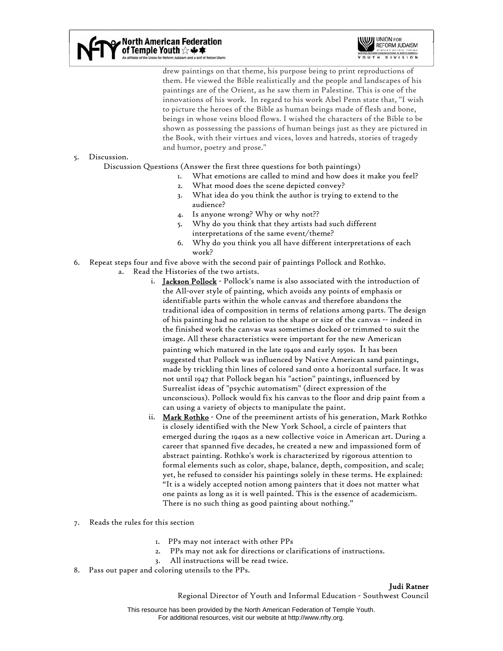North American Federation<br>"of Temple Youth ☆ ♣ ★ or Reform Judaism and a snif of Netzer Olami



drew paintings on that theme, his purpose being to print reproductions of them. He viewed the Bible realistically and the people and landscapes of his paintings are of the Orient, as he saw them in Palestine. This is one of the innovations of his work. In regard to his work Abel Penn state that, "I wish to picture the heroes of the Bible as human beings made of flesh and bone, beings in whose veins blood flows. I wished the characters of the Bible to be shown as possessing the passions of human beings just as they are pictured in the Book, with their virtues and vices, loves and hatreds, stories of tragedy and humor, poetry and prose."

#### 5. Discussion.

Discussion Questions (Answer the first three questions for both paintings)

- 1. What emotions are called to mind and how does it make you feel?
- 2. What mood does the scene depicted convey?
	- 3. What idea do you think the author is trying to extend to the audience?
	- 4. Is anyone wrong? Why or why not??
	- 5. Why do you think that they artists had such different interpretations of the same event/theme?
	- 6. Why do you think you all have different interpretations of each work?
- 6. Repeat steps four and five above with the second pair of paintings Pollock and Rothko.
	- a. Read the Histories of the two artists.
		- i. Jackson Pollock Pollock's name is also associated with the introduction of the All-over style of painting, which avoids any points of emphasis or identifiable parts within the whole canvas and therefore abandons the traditional idea of composition in terms of relations among parts. The design of his painting had no relation to the shape or size of the canvas -- indeed in the finished work the canvas was sometimes docked or trimmed to suit the image. All these characteristics were important for the new American painting which matured in the late 1940s and early 1950s. It has been suggested that Pollock was influenced by Native American sand paintings, made by trickling thin lines of colored sand onto a horizontal surface. It was not until 1947 that Pollock began his "action" paintings, influenced by Surrealist ideas of "psychic automatism" (direct expression of the unconscious). Pollock would fix his canvas to the floor and drip paint from a can using a variety of objects to manipulate the paint.
		- ii. Mark Rothko One of the preeminent artists of his generation, Mark Rothko is closely identified with the New York School, a circle of painters that emerged during the 1940s as a new collective voice in American art. During a career that spanned five decades, he created a new and impassioned form of abstract painting. Rothko's work is characterized by rigorous attention to formal elements such as color, shape, balance, depth, composition, and scale; yet, he refused to consider his paintings solely in these terms. He explained: "It is a widely accepted notion among painters that it does not matter what one paints as long as it is well painted. This is the essence of academicism. There is no such thing as good painting about nothing."
- 7. Reads the rules for this section
	- 1. PPs may not interact with other PPs
	- 2. PPs may not ask for directions or clarifications of instructions.
	- 3. All instructions will be read twice.
- 8. Pass out paper and coloring utensils to the PPs.

Judi Ratner

Regional Director of Youth and Informal Education - Southwest Council

This resource has been provided by the North American Federation of Temple Youth. For additional resources, visit our website at http://www.nfty.org.